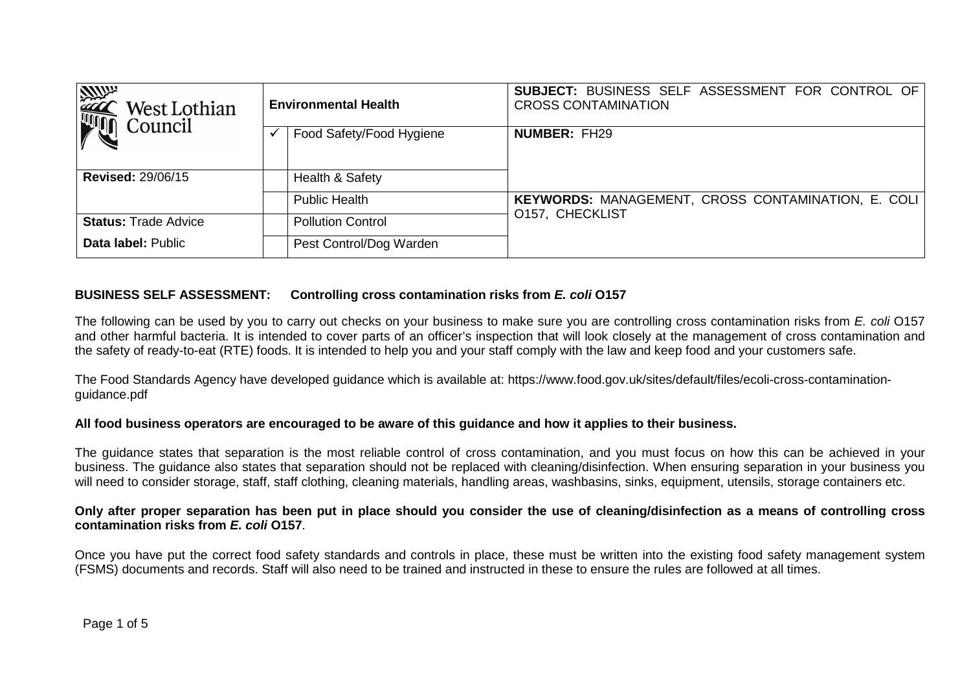| <b>ANGEL</b><br>West Lothian | <b>Environmental Health</b> | <b>SUBJECT: BUSINESS SELF ASSESSMENT FOR CONTROL OF</b><br><b>CROSS CONTAMINATION</b> |  |  |  |  |  |  |
|------------------------------|-----------------------------|---------------------------------------------------------------------------------------|--|--|--|--|--|--|
| Council                      | Food Safety/Food Hygiene    | <b>NUMBER: FH29</b>                                                                   |  |  |  |  |  |  |
| <b>Revised: 29/06/15</b>     | Health & Safety             |                                                                                       |  |  |  |  |  |  |
|                              | <b>Public Health</b>        | <b>KEYWORDS: MANAGEMENT, CROSS CONTAMINATION, E. COLI</b>                             |  |  |  |  |  |  |
| <b>Status: Trade Advice</b>  | <b>Pollution Control</b>    | <b>O157, CHECKLIST</b>                                                                |  |  |  |  |  |  |
| Data label: Public           | Pest Control/Dog Warden     |                                                                                       |  |  |  |  |  |  |

## **BUSINESS SELF ASSESSMENT: Controlling cross contamination risks from E. coli O157**

The following can be used by you to carry out checks on your business to make sure you are controlling cross contamination risks from E. coli O157 and other harmful bacteria. It is intended to cover parts of an officer's inspection that will look closely at the management of cross contamination and the safety of ready-to-eat (RTE) foods. It is intended to help you and your staff comply with the law and keep food and your customers safe.

The Food Standards Agency have developed guidance which is available at: https://www.food.gov.uk/sites/default/files/ecoli-cross-contaminationguidance.pdf

## **All food business operators are encouraged to be aware of this guidance and how it applies to their business.**

The guidance states that separation is the most reliable control of cross contamination, and you must focus on how this can be achieved in your business. The guidance also states that separation should not be replaced with cleaning/disinfection. When ensuring separation in your business you will need to consider storage, staff, staff clothing, cleaning materials, handling areas, washbasins, sinks, equipment, utensils, storage containers etc.

## **Only after proper separation has been put in place should you consider the use of cleaning/disinfection as a means of controlling cross contamination risks from E. coli O157**.

Once you have put the correct food safety standards and controls in place, these must be written into the existing food safety management system (FSMS) documents and records. Staff will also need to be trained and instructed in these to ensure the rules are followed at all times.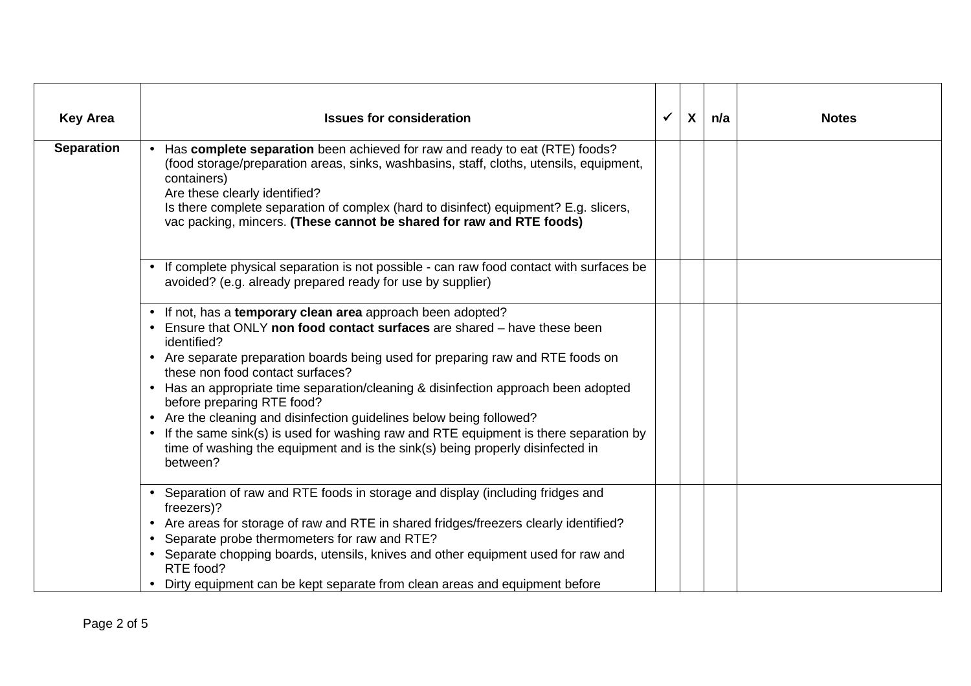| <b>Key Area</b>   | <b>Issues for consideration</b>                                                                                                                                                                                                                                                                                                                                                                                                                                                                                                                                                                                                                                    | $\checkmark$ | $\boldsymbol{\mathsf{X}}$ | n/a | <b>Notes</b> |
|-------------------|--------------------------------------------------------------------------------------------------------------------------------------------------------------------------------------------------------------------------------------------------------------------------------------------------------------------------------------------------------------------------------------------------------------------------------------------------------------------------------------------------------------------------------------------------------------------------------------------------------------------------------------------------------------------|--------------|---------------------------|-----|--------------|
| <b>Separation</b> | • Has complete separation been achieved for raw and ready to eat (RTE) foods?<br>(food storage/preparation areas, sinks, washbasins, staff, cloths, utensils, equipment,<br>containers)<br>Are these clearly identified?<br>Is there complete separation of complex (hard to disinfect) equipment? E.g. slicers,<br>vac packing, mincers. (These cannot be shared for raw and RTE foods)                                                                                                                                                                                                                                                                           |              |                           |     |              |
|                   | • If complete physical separation is not possible - can raw food contact with surfaces be<br>avoided? (e.g. already prepared ready for use by supplier)                                                                                                                                                                                                                                                                                                                                                                                                                                                                                                            |              |                           |     |              |
|                   | • If not, has a temporary clean area approach been adopted?<br>• Ensure that ONLY non food contact surfaces are shared – have these been<br>identified?<br>• Are separate preparation boards being used for preparing raw and RTE foods on<br>these non food contact surfaces?<br>• Has an appropriate time separation/cleaning & disinfection approach been adopted<br>before preparing RTE food?<br>• Are the cleaning and disinfection guidelines below being followed?<br>• If the same sink(s) is used for washing raw and RTE equipment is there separation by<br>time of washing the equipment and is the sink(s) being properly disinfected in<br>between? |              |                           |     |              |
|                   | • Separation of raw and RTE foods in storage and display (including fridges and<br>freezers)?<br>• Are areas for storage of raw and RTE in shared fridges/freezers clearly identified?<br>• Separate probe thermometers for raw and RTE?<br>• Separate chopping boards, utensils, knives and other equipment used for raw and<br>RTE food?<br>Dirty equipment can be kept separate from clean areas and equipment before                                                                                                                                                                                                                                           |              |                           |     |              |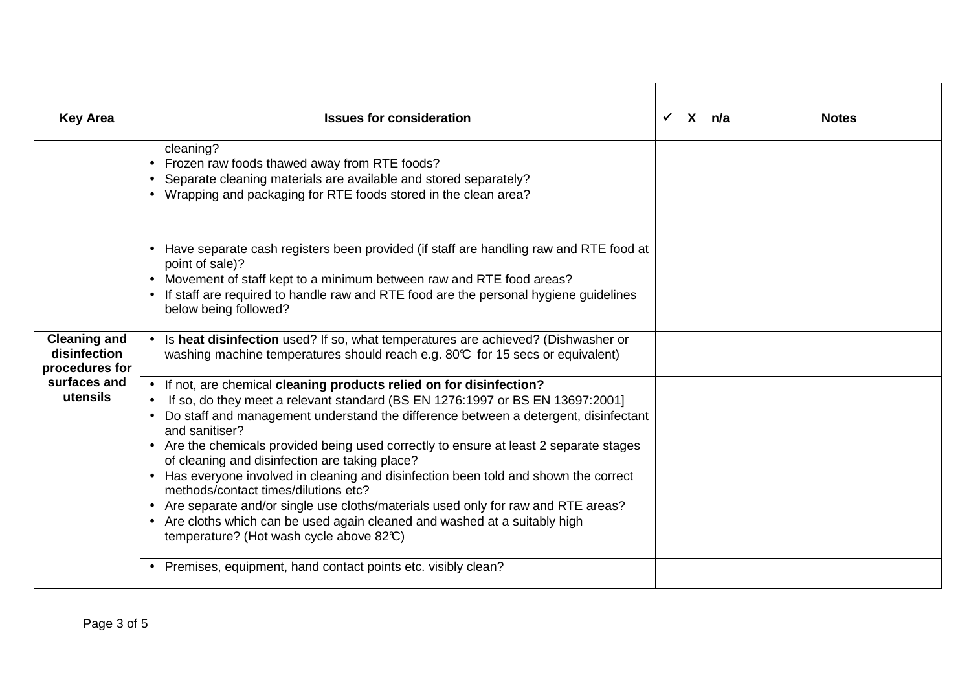| <b>Key Area</b>                                                                   | <b>Issues for consideration</b>                                                                                                                                                                                                                                                                                                                                                                                                                                                                                                                                                                                                                                                                                                                            | $\checkmark$ | $\boldsymbol{X}$ | n/a | <b>Notes</b> |
|-----------------------------------------------------------------------------------|------------------------------------------------------------------------------------------------------------------------------------------------------------------------------------------------------------------------------------------------------------------------------------------------------------------------------------------------------------------------------------------------------------------------------------------------------------------------------------------------------------------------------------------------------------------------------------------------------------------------------------------------------------------------------------------------------------------------------------------------------------|--------------|------------------|-----|--------------|
|                                                                                   | cleaning?<br>• Frozen raw foods thawed away from RTE foods?<br>Separate cleaning materials are available and stored separately?<br>$\bullet$<br>• Wrapping and packaging for RTE foods stored in the clean area?                                                                                                                                                                                                                                                                                                                                                                                                                                                                                                                                           |              |                  |     |              |
|                                                                                   | • Have separate cash registers been provided (if staff are handling raw and RTE food at<br>point of sale)?<br>Movement of staff kept to a minimum between raw and RTE food areas?<br>• If staff are required to handle raw and RTE food are the personal hygiene guidelines<br>below being followed?                                                                                                                                                                                                                                                                                                                                                                                                                                                       |              |                  |     |              |
| <b>Cleaning and</b><br>disinfection<br>procedures for<br>surfaces and<br>utensils | Is heat disinfection used? If so, what temperatures are achieved? (Dishwasher or<br>washing machine temperatures should reach e.g. 80°C for 15 secs or equivalent)                                                                                                                                                                                                                                                                                                                                                                                                                                                                                                                                                                                         |              |                  |     |              |
|                                                                                   | • If not, are chemical cleaning products relied on for disinfection?<br>If so, do they meet a relevant standard (BS EN 1276:1997 or BS EN 13697:2001]<br>Do staff and management understand the difference between a detergent, disinfectant<br>and sanitiser?<br>• Are the chemicals provided being used correctly to ensure at least 2 separate stages<br>of cleaning and disinfection are taking place?<br>• Has everyone involved in cleaning and disinfection been told and shown the correct<br>methods/contact times/dilutions etc?<br>• Are separate and/or single use cloths/materials used only for raw and RTE areas?<br>• Are cloths which can be used again cleaned and washed at a suitably high<br>temperature? (Hot wash cycle above 82°C) |              |                  |     |              |
|                                                                                   | • Premises, equipment, hand contact points etc. visibly clean?                                                                                                                                                                                                                                                                                                                                                                                                                                                                                                                                                                                                                                                                                             |              |                  |     |              |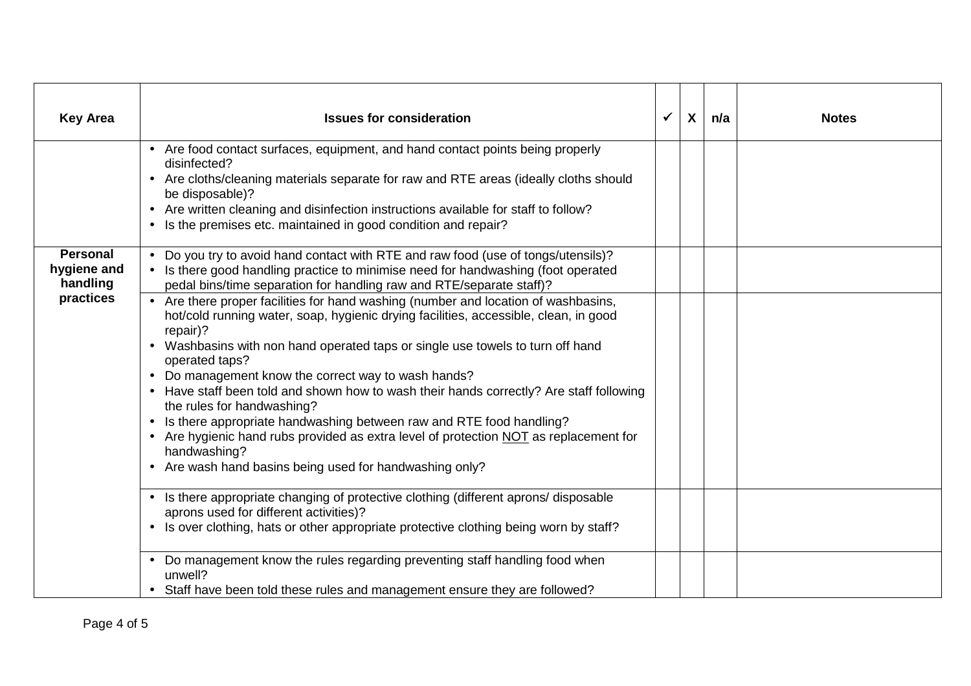| <b>Key Area</b>                            | <b>Issues for consideration</b>                                                                                                                                                                                                                                                                                                                                                                                                                                                                                                                                                                                                                                                                                              | $\checkmark$ | $\boldsymbol{X}$ | n/a | <b>Notes</b> |
|--------------------------------------------|------------------------------------------------------------------------------------------------------------------------------------------------------------------------------------------------------------------------------------------------------------------------------------------------------------------------------------------------------------------------------------------------------------------------------------------------------------------------------------------------------------------------------------------------------------------------------------------------------------------------------------------------------------------------------------------------------------------------------|--------------|------------------|-----|--------------|
|                                            | • Are food contact surfaces, equipment, and hand contact points being properly<br>disinfected?<br>• Are cloths/cleaning materials separate for raw and RTE areas (ideally cloths should<br>be disposable)?<br>• Are written cleaning and disinfection instructions available for staff to follow?<br>• Is the premises etc. maintained in good condition and repair?                                                                                                                                                                                                                                                                                                                                                         |              |                  |     |              |
| <b>Personal</b><br>hygiene and<br>handling | • Do you try to avoid hand contact with RTE and raw food (use of tongs/utensils)?<br>• Is there good handling practice to minimise need for handwashing (foot operated<br>pedal bins/time separation for handling raw and RTE/separate staff)?                                                                                                                                                                                                                                                                                                                                                                                                                                                                               |              |                  |     |              |
| practices                                  | • Are there proper facilities for hand washing (number and location of washbasins,<br>hot/cold running water, soap, hygienic drying facilities, accessible, clean, in good<br>repair)?<br>Washbasins with non hand operated taps or single use towels to turn off hand<br>operated taps?<br>Do management know the correct way to wash hands?<br>$\bullet$<br>Have staff been told and shown how to wash their hands correctly? Are staff following<br>the rules for handwashing?<br>Is there appropriate handwashing between raw and RTE food handling?<br>• Are hygienic hand rubs provided as extra level of protection NOT as replacement for<br>handwashing?<br>• Are wash hand basins being used for handwashing only? |              |                  |     |              |
|                                            | • Is there appropriate changing of protective clothing (different aprons/disposable<br>aprons used for different activities)?<br>• Is over clothing, hats or other appropriate protective clothing being worn by staff?                                                                                                                                                                                                                                                                                                                                                                                                                                                                                                      |              |                  |     |              |
|                                            | Do management know the rules regarding preventing staff handling food when<br>unwell?<br>• Staff have been told these rules and management ensure they are followed?                                                                                                                                                                                                                                                                                                                                                                                                                                                                                                                                                         |              |                  |     |              |